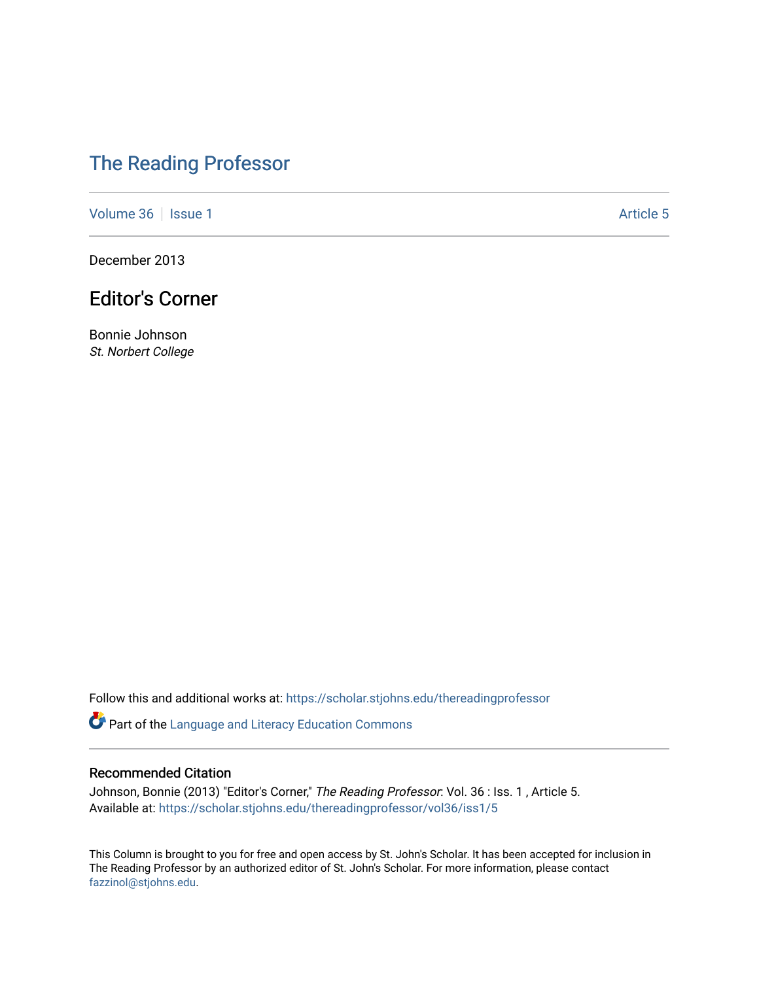## [The Reading Professor](https://scholar.stjohns.edu/thereadingprofessor)

[Volume 36](https://scholar.stjohns.edu/thereadingprofessor/vol36) | [Issue 1](https://scholar.stjohns.edu/thereadingprofessor/vol36/iss1) Article 5

December 2013

### Editor's Corner

Bonnie Johnson St. Norbert College

Follow this and additional works at: [https://scholar.stjohns.edu/thereadingprofessor](https://scholar.stjohns.edu/thereadingprofessor?utm_source=scholar.stjohns.edu%2Fthereadingprofessor%2Fvol36%2Fiss1%2F5&utm_medium=PDF&utm_campaign=PDFCoverPages) 

Part of the [Language and Literacy Education Commons](http://network.bepress.com/hgg/discipline/1380?utm_source=scholar.stjohns.edu%2Fthereadingprofessor%2Fvol36%2Fiss1%2F5&utm_medium=PDF&utm_campaign=PDFCoverPages) 

#### Recommended Citation

Johnson, Bonnie (2013) "Editor's Corner," The Reading Professor: Vol. 36 : Iss. 1, Article 5. Available at: [https://scholar.stjohns.edu/thereadingprofessor/vol36/iss1/5](https://scholar.stjohns.edu/thereadingprofessor/vol36/iss1/5?utm_source=scholar.stjohns.edu%2Fthereadingprofessor%2Fvol36%2Fiss1%2F5&utm_medium=PDF&utm_campaign=PDFCoverPages) 

This Column is brought to you for free and open access by St. John's Scholar. It has been accepted for inclusion in The Reading Professor by an authorized editor of St. John's Scholar. For more information, please contact [fazzinol@stjohns.edu](mailto:fazzinol@stjohns.edu).